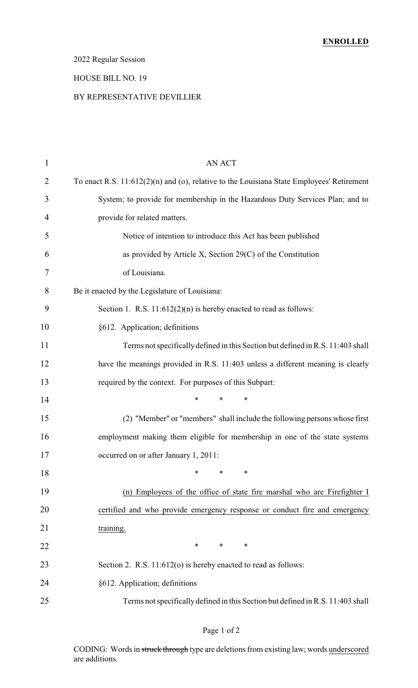## 2022 Regular Session

# HOUSE BILL NO. 19

#### BY REPRESENTATIVE DEVILLIER

| $\mathbf{1}$   | <b>AN ACT</b>                                                                             |
|----------------|-------------------------------------------------------------------------------------------|
| $\overline{2}$ | To enact R.S. 11:612(2)(n) and (o), relative to the Louisiana State Employees' Retirement |
| 3              | System; to provide for membership in the Hazardous Duty Services Plan; and to             |
| 4              | provide for related matters.                                                              |
| 5              | Notice of intention to introduce this Act has been published                              |
| 6              | as provided by Article X, Section $29(C)$ of the Constitution                             |
| 7              | of Louisiana.                                                                             |
| 8              | Be it enacted by the Legislature of Louisiana:                                            |
| 9              | Section 1. R.S. $11:612(2)(n)$ is hereby enacted to read as follows:                      |
| 10             | §612. Application; definitions                                                            |
| 11             | Terms not specifically defined in this Section but defined in R.S. 11:403 shall           |
| 12             | have the meanings provided in R.S. 11:403 unless a different meaning is clearly           |
| 13             | required by the context. For purposes of this Subpart:                                    |
| 14             | $\ast$<br>$\ast$<br>$\ast$                                                                |
| 15             | (2) "Member" or "members" shall include the following persons whose first                 |
| 16             | employment making them eligible for membership in one of the state systems                |
| 17             | occurred on or after January 1, 2011:                                                     |
| 18             | *<br>*<br>*                                                                               |
| 19             | (n) Employees of the office of state fire marshal who are Firefighter I                   |
| 20             | certified and who provide emergency response or conduct fire and emergency                |
| 21             | training.                                                                                 |
| 22             | $\ast$<br>$*$ and $*$<br>∗                                                                |
| 23             | Section 2. R.S. 11:612(o) is hereby enacted to read as follows:                           |
| 24             | §612. Application; definitions                                                            |
| 25             | Terms not specifically defined in this Section but defined in R.S. 11:403 shall           |

## Page 1 of 2

CODING: Words in struck through type are deletions from existing law; words underscored are additions.